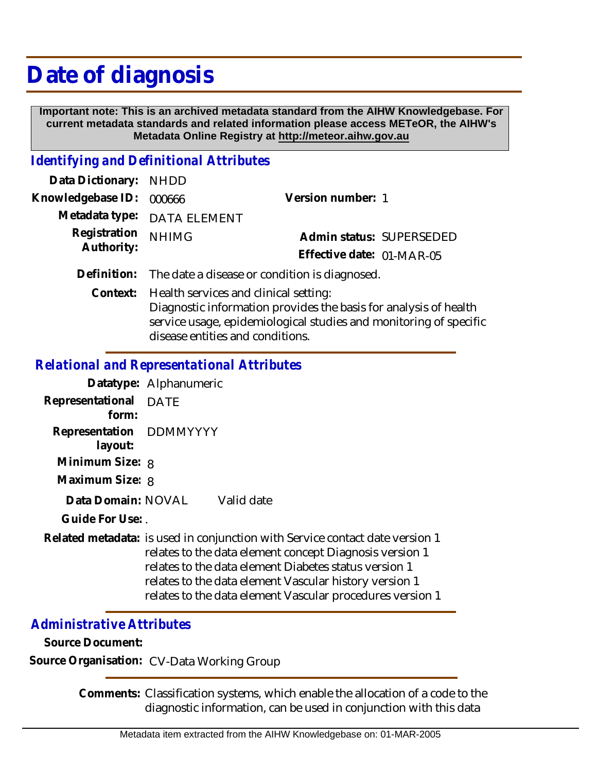## **Date of diagnosis**

 **Important note: This is an archived metadata standard from the AIHW Knowledgebase. For current metadata standards and related information please access METeOR, the AIHW's Metadata Online Registry at http://meteor.aihw.gov.au**

## *Identifying and Definitional Attributes*

| Data Dictionary: NHDD      |                                                                                                                 |                                                       |  |
|----------------------------|-----------------------------------------------------------------------------------------------------------------|-------------------------------------------------------|--|
| Knowledgebase ID:          | 000666                                                                                                          | Version number: 1                                     |  |
|                            | Metadata type: DATA ELEMENT                                                                                     |                                                       |  |
| Registration<br>Authority: | <b>NHIMG</b>                                                                                                    | Admin status: SUPERSEDED<br>Effective date: 01-MAR-05 |  |
|                            | Definition: The date a disease or condition is diagnosed.                                                       |                                                       |  |
|                            | Context: Health services and clinical setting:<br>Diagnostic information provides the basis for analysis of hea |                                                       |  |

 $\mu$ iostic information provides the basis for analysis of health service usage, epidemiological studies and monitoring of specific disease entities and conditions.

## *Relational and Representational Attributes*

|                                    | Datatype: Alphanumeric                                                                                                                                                                                                                                     |
|------------------------------------|------------------------------------------------------------------------------------------------------------------------------------------------------------------------------------------------------------------------------------------------------------|
| Representational DATE<br>form:     |                                                                                                                                                                                                                                                            |
| Representation DDMMYYYY<br>layout: |                                                                                                                                                                                                                                                            |
| Minimum Size: 8                    |                                                                                                                                                                                                                                                            |
| Maximum Size: 8                    |                                                                                                                                                                                                                                                            |
| Data Domain: NOVAL                 | Valid date                                                                                                                                                                                                                                                 |
| Guide For Use:.                    |                                                                                                                                                                                                                                                            |
|                                    | Related metadata: is used in conjunction with Service contact date version 1<br>relates to the data element concept Diagnosis version 1<br>relates to the data element Diabetes status version 1<br>relates to the data element Vascular history version 1 |
|                                    | relates to the data element Vascular procedures version 1                                                                                                                                                                                                  |

## *Administrative Attributes*

**Source Document:**

**Source Organisation:** CV-Data Working Group

Comments: Classification systems, which enable the allocation of a code to the diagnostic information, can be used in conjunction with this data